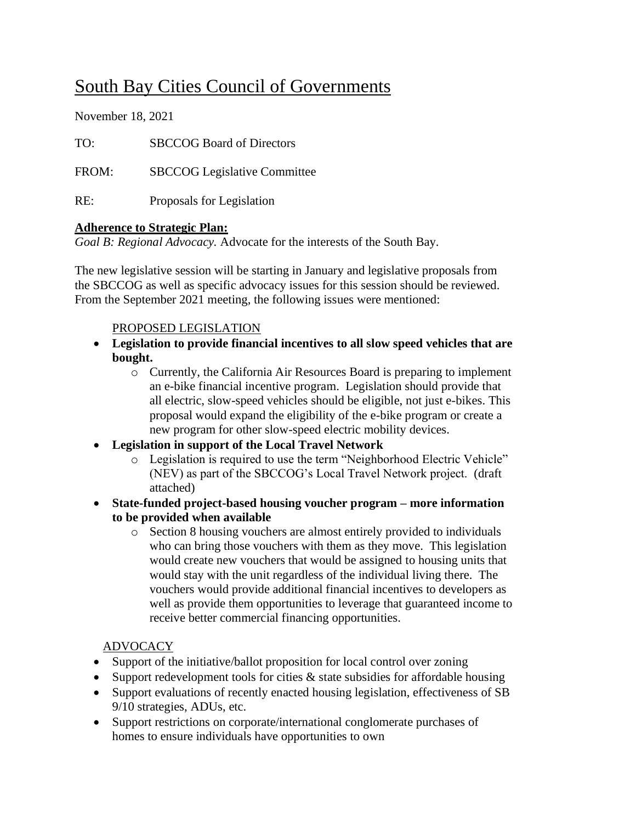# South Bay Cities Council of Governments

November 18, 2021

TO: SBCCOG Board of Directors

FROM: SBCCOG Legislative Committee

RE: Proposals for Legislation

#### **Adherence to Strategic Plan:**

*Goal B: Regional Advocacy.* Advocate for the interests of the South Bay.

The new legislative session will be starting in January and legislative proposals from the SBCCOG as well as specific advocacy issues for this session should be reviewed. From the September 2021 meeting, the following issues were mentioned:

## PROPOSED LEGISLATION

- **Legislation to provide financial incentives to all slow speed vehicles that are bought.**
	- o Currently, the California Air Resources Board is preparing to implement an e-bike financial incentive program. Legislation should provide that all electric, slow-speed vehicles should be eligible, not just e-bikes. This proposal would expand the eligibility of the e-bike program or create a new program for other slow-speed electric mobility devices.
- **Legislation in support of the Local Travel Network**
	- o Legislation is required to use the term "Neighborhood Electric Vehicle" (NEV) as part of the SBCCOG's Local Travel Network project. (draft attached)
- **State-funded project-based housing voucher program – more information to be provided when available** 
	- o Section 8 housing vouchers are almost entirely provided to individuals who can bring those vouchers with them as they move. This legislation would create new vouchers that would be assigned to housing units that would stay with the unit regardless of the individual living there. The vouchers would provide additional financial incentives to developers as well as provide them opportunities to leverage that guaranteed income to receive better commercial financing opportunities.

## ADVOCACY

- Support of the initiative/ballot proposition for local control over zoning
- Support redevelopment tools for cities  $\&$  state subsidies for affordable housing
- Support evaluations of recently enacted housing legislation, effectiveness of SB 9/10 strategies, ADUs, etc.
- Support restrictions on corporate/international conglomerate purchases of homes to ensure individuals have opportunities to own